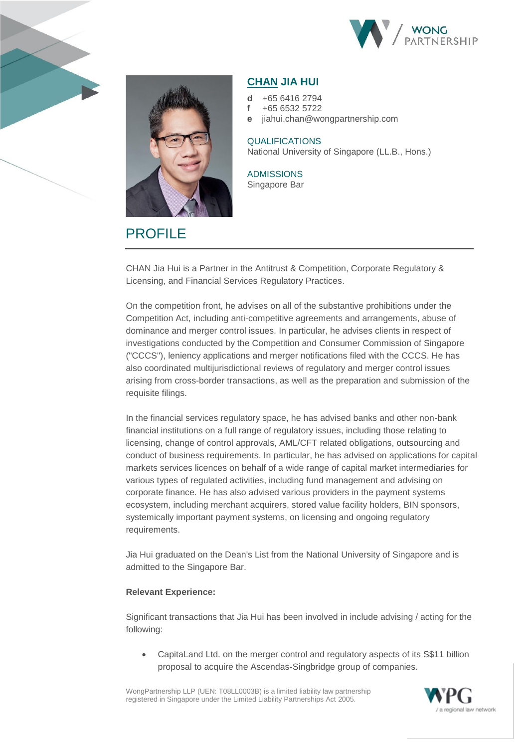



# **PROFILE**

# **CHAN JIA HUI**

- **d** +65 6416 2794
- **f** +65 6532 5722
- **e** jiahui.chan@wongpartnership.com

## **QUALIFICATIONS** National University of Singapore (LL.B., Hons.)

ADMISSIONS Singapore Bar

CHAN Jia Hui is a Partner in the Antitrust & Competition, Corporate Regulatory & Licensing, and Financial Services Regulatory Practices.

On the competition front, he advises on all of the substantive prohibitions under the Competition Act, including anti-competitive agreements and arrangements, abuse of dominance and merger control issues. In particular, he advises clients in respect of investigations conducted by the Competition and Consumer Commission of Singapore ("CCCS"), leniency applications and merger notifications filed with the CCCS. He has also coordinated multijurisdictional reviews of regulatory and merger control issues arising from cross-border transactions, as well as the preparation and submission of the requisite filings.

In the financial services regulatory space, he has advised banks and other non-bank financial institutions on a full range of regulatory issues, including those relating to licensing, change of control approvals, AML/CFT related obligations, outsourcing and conduct of business requirements. In particular, he has advised on applications for capital markets services licences on behalf of a wide range of capital market intermediaries for various types of regulated activities, including fund management and advising on corporate finance. He has also advised various providers in the payment systems ecosystem, including merchant acquirers, stored value facility holders, BIN sponsors, systemically important payment systems, on licensing and ongoing regulatory requirements.

Jia Hui graduated on the Dean's List from the National University of Singapore and is admitted to the Singapore Bar.

#### **Relevant Experience:**

Significant transactions that Jia Hui has been involved in include advising / acting for the following:

• CapitaLand Ltd. on the merger control and regulatory aspects of its S\$11 billion proposal to acquire the Ascendas-Singbridge group of companies.

WongPartnership LLP (UEN: T08LL0003B) is a limited liability law partnership registered in Singapore under the Limited Liability Partnerships Act 2005.

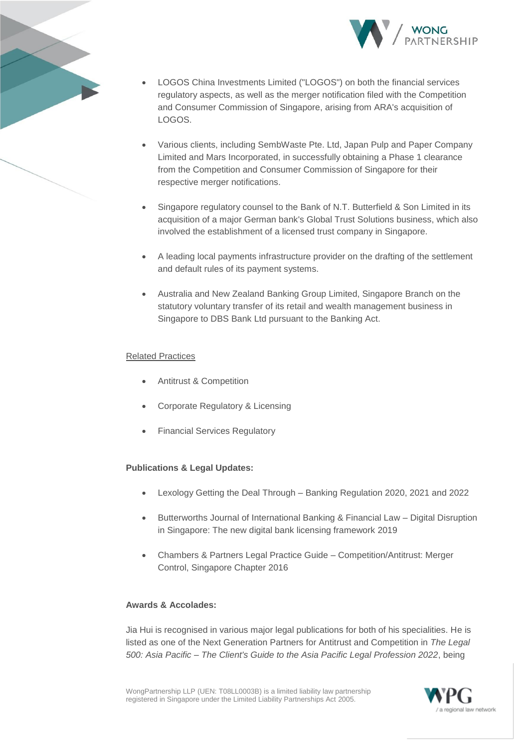



- LOGOS China Investments Limited ("LOGOS") on both the financial services regulatory aspects, as well as the merger notification filed with the Competition and Consumer Commission of Singapore, arising from ARA's acquisition of LOGOS.
- Various clients, including SembWaste Pte. Ltd, Japan Pulp and Paper Company Limited and Mars Incorporated, in successfully obtaining a Phase 1 clearance from the Competition and Consumer Commission of Singapore for their respective merger notifications.
- Singapore regulatory counsel to the Bank of N.T. Butterfield & Son Limited in its acquisition of a major German bank's Global Trust Solutions business, which also involved the establishment of a licensed trust company in Singapore.
- A leading local payments infrastructure provider on the drafting of the settlement and default rules of its payment systems.
- Australia and New Zealand Banking Group Limited, Singapore Branch on the statutory voluntary transfer of its retail and wealth management business in Singapore to DBS Bank Ltd pursuant to the Banking Act.

### Related Practices

- Antitrust & Competition
- Corporate Regulatory & Licensing
- Financial Services Regulatory

#### **Publications & Legal Updates:**

- Lexology Getting the Deal Through Banking Regulation 2020, 2021 and 2022
- Butterworths Journal of International Banking & Financial Law Digital Disruption in Singapore: The new digital bank licensing framework 2019
- Chambers & Partners Legal Practice Guide Competition/Antitrust: Merger Control, Singapore Chapter 2016

#### **Awards & Accolades:**

Jia Hui is recognised in various major legal publications for both of his specialities. He is listed as one of the Next Generation Partners for Antitrust and Competition in *The Legal 500: Asia Pacific – The Client's Guide to the Asia Pacific Legal Profession 2022*, being

WongPartnership LLP (UEN: T08LL0003B) is a limited liability law partnership registered in Singapore under the Limited Liability Partnerships Act 2005.